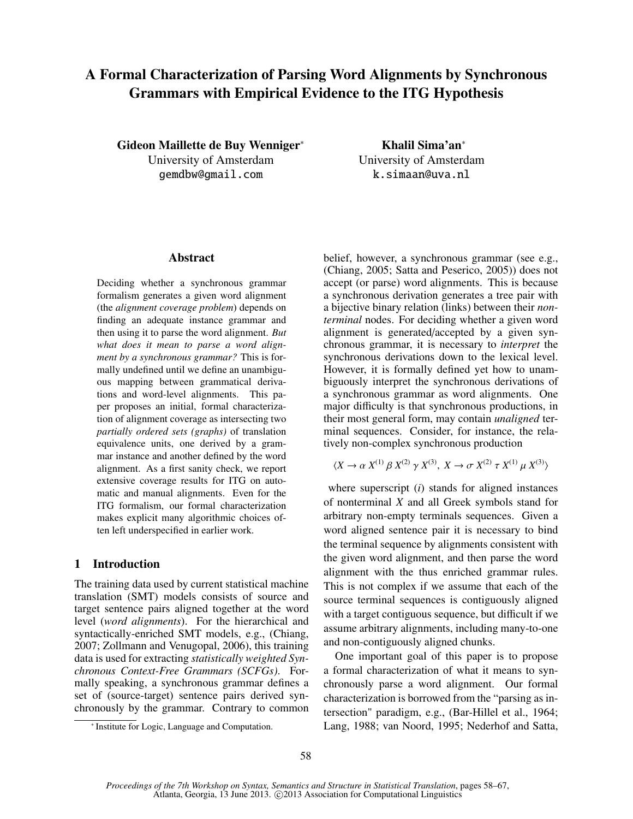# A Formal Characterization of Parsing Word Alignments by Synchronous Grammars with Empirical Evidence to the ITG Hypothesis

Gideon Maillette de Buy Wenniger<sup>∗</sup> University of Amsterdam gemdbw@gmail.com

Khalil Sima'an<sup>∗</sup> University of Amsterdam k.simaan@uva.nl

#### Abstract

Deciding whether a synchronous grammar formalism generates a given word alignment (the *alignment coverage problem*) depends on finding an adequate instance grammar and then using it to parse the word alignment. *But what does it mean to parse a word alignment by a synchronous grammar?* This is formally undefined until we define an unambiguous mapping between grammatical derivations and word-level alignments. This paper proposes an initial, formal characterization of alignment coverage as intersecting two *partially ordered sets (graphs)* of translation equivalence units, one derived by a grammar instance and another defined by the word alignment. As a first sanity check, we report extensive coverage results for ITG on automatic and manual alignments. Even for the ITG formalism, our formal characterization makes explicit many algorithmic choices often left underspecified in earlier work.

## 1 Introduction

The training data used by current statistical machine translation (SMT) models consists of source and target sentence pairs aligned together at the word level (*word alignments*). For the hierarchical and syntactically-enriched SMT models, e.g., (Chiang, 2007; Zollmann and Venugopal, 2006), this training data is used for extracting *statistically weighted Synchronous Context-Free Grammars (SCFGs)*. Formally speaking, a synchronous grammar defines a set of (source-target) sentence pairs derived synchronously by the grammar. Contrary to common belief, however, a synchronous grammar (see e.g., (Chiang, 2005; Satta and Peserico, 2005)) does not accept (or parse) word alignments. This is because a synchronous derivation generates a tree pair with a bijective binary relation (links) between their *nonterminal* nodes. For deciding whether a given word alignment is generated/accepted by a given synchronous grammar, it is necessary to *interpret* the synchronous derivations down to the lexical level. However, it is formally defined yet how to unambiguously interpret the synchronous derivations of a synchronous grammar as word alignments. One major difficulty is that synchronous productions, in their most general form, may contain *unaligned* terminal sequences. Consider, for instance, the relatively non-complex synchronous production

$$
\langle X \to \alpha \, X^{(1)} \, \beta \, X^{(2)} \, \gamma \, X^{(3)}, \, X \to \sigma \, X^{(2)} \, \tau \, X^{(1)} \, \mu \, X^{(3)} \rangle
$$

where superscript (*i*) stands for aligned instances of nonterminal *X* and all Greek symbols stand for arbitrary non-empty terminals sequences. Given a word aligned sentence pair it is necessary to bind the terminal sequence by alignments consistent with the given word alignment, and then parse the word alignment with the thus enriched grammar rules. This is not complex if we assume that each of the source terminal sequences is contiguously aligned with a target contiguous sequence, but difficult if we assume arbitrary alignments, including many-to-one and non-contiguously aligned chunks.

One important goal of this paper is to propose a formal characterization of what it means to synchronously parse a word alignment. Our formal characterization is borrowed from the "parsing as intersection" paradigm, e.g., (Bar-Hillel et al., 1964; Lang, 1988; van Noord, 1995; Nederhof and Satta,

<sup>∗</sup> Institute for Logic, Language and Computation.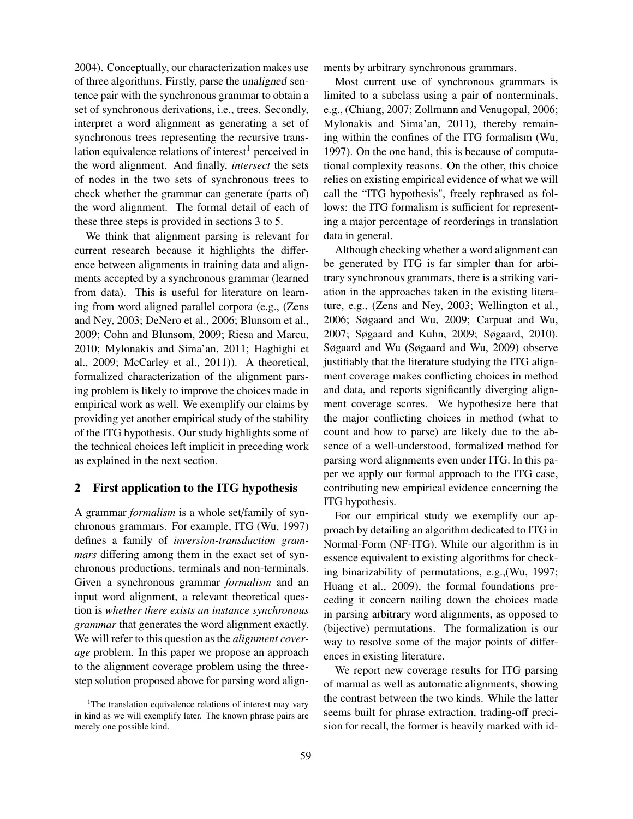2004). Conceptually, our characterization makes use of three algorithms. Firstly, parse the unaligned sentence pair with the synchronous grammar to obtain a set of synchronous derivations, i.e., trees. Secondly, interpret a word alignment as generating a set of synchronous trees representing the recursive translation equivalence relations of interest<sup>1</sup> perceived in the word alignment. And finally, *intersect* the sets of nodes in the two sets of synchronous trees to check whether the grammar can generate (parts of) the word alignment. The formal detail of each of these three steps is provided in sections 3 to 5.

We think that alignment parsing is relevant for current research because it highlights the difference between alignments in training data and alignments accepted by a synchronous grammar (learned from data). This is useful for literature on learning from word aligned parallel corpora (e.g., (Zens and Ney, 2003; DeNero et al., 2006; Blunsom et al., 2009; Cohn and Blunsom, 2009; Riesa and Marcu, 2010; Mylonakis and Sima'an, 2011; Haghighi et al., 2009; McCarley et al., 2011)). A theoretical, formalized characterization of the alignment parsing problem is likely to improve the choices made in empirical work as well. We exemplify our claims by providing yet another empirical study of the stability of the ITG hypothesis. Our study highlights some of the technical choices left implicit in preceding work as explained in the next section.

## 2 First application to the ITG hypothesis

A grammar *formalism* is a whole set/family of synchronous grammars. For example, ITG (Wu, 1997) defines a family of *inversion-transduction grammars* differing among them in the exact set of synchronous productions, terminals and non-terminals. Given a synchronous grammar *formalism* and an input word alignment, a relevant theoretical question is *whether there exists an instance synchronous grammar* that generates the word alignment exactly. We will refer to this question as the *alignment coverage* problem. In this paper we propose an approach to the alignment coverage problem using the threestep solution proposed above for parsing word alignments by arbitrary synchronous grammars.

Most current use of synchronous grammars is limited to a subclass using a pair of nonterminals, e.g., (Chiang, 2007; Zollmann and Venugopal, 2006; Mylonakis and Sima'an, 2011), thereby remaining within the confines of the ITG formalism (Wu, 1997). On the one hand, this is because of computational complexity reasons. On the other, this choice relies on existing empirical evidence of what we will call the "ITG hypothesis", freely rephrased as follows: the ITG formalism is sufficient for representing a major percentage of reorderings in translation data in general.

Although checking whether a word alignment can be generated by ITG is far simpler than for arbitrary synchronous grammars, there is a striking variation in the approaches taken in the existing literature, e.g., (Zens and Ney, 2003; Wellington et al., 2006; Søgaard and Wu, 2009; Carpuat and Wu, 2007; Søgaard and Kuhn, 2009; Søgaard, 2010). Søgaard and Wu (Søgaard and Wu, 2009) observe justifiably that the literature studying the ITG alignment coverage makes conflicting choices in method and data, and reports significantly diverging alignment coverage scores. We hypothesize here that the major conflicting choices in method (what to count and how to parse) are likely due to the absence of a well-understood, formalized method for parsing word alignments even under ITG. In this paper we apply our formal approach to the ITG case, contributing new empirical evidence concerning the ITG hypothesis.

For our empirical study we exemplify our approach by detailing an algorithm dedicated to ITG in Normal-Form (NF-ITG). While our algorithm is in essence equivalent to existing algorithms for checking binarizability of permutations, e.g.,(Wu, 1997; Huang et al., 2009), the formal foundations preceding it concern nailing down the choices made in parsing arbitrary word alignments, as opposed to (bijective) permutations. The formalization is our way to resolve some of the major points of differences in existing literature.

We report new coverage results for ITG parsing of manual as well as automatic alignments, showing the contrast between the two kinds. While the latter seems built for phrase extraction, trading-off precision for recall, the former is heavily marked with id-

<sup>&</sup>lt;sup>1</sup>The translation equivalence relations of interest may vary in kind as we will exemplify later. The known phrase pairs are merely one possible kind.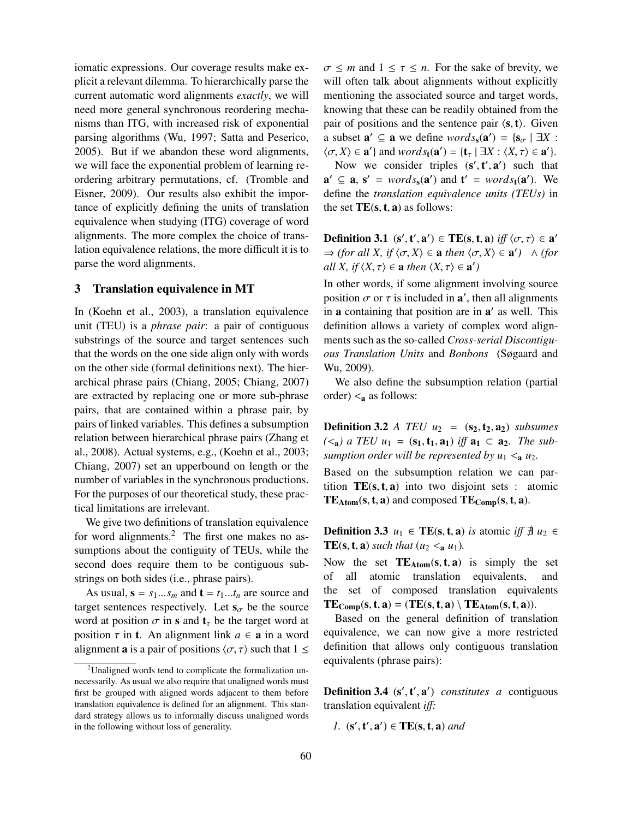iomatic expressions. Our coverage results make explicit a relevant dilemma. To hierarchically parse the current automatic word alignments *exactly*, we will need more general synchronous reordering mechanisms than ITG, with increased risk of exponential parsing algorithms (Wu, 1997; Satta and Peserico, 2005). But if we abandon these word alignments, we will face the exponential problem of learning reordering arbitrary permutations, cf. (Tromble and Eisner, 2009). Our results also exhibit the importance of explicitly defining the units of translation equivalence when studying (ITG) coverage of word alignments. The more complex the choice of translation equivalence relations, the more difficult it is to parse the word alignments.

#### 3 Translation equivalence in MT

In (Koehn et al., 2003), a translation equivalence unit (TEU) is a *phrase pair*: a pair of contiguous substrings of the source and target sentences such that the words on the one side align only with words on the other side (formal definitions next). The hierarchical phrase pairs (Chiang, 2005; Chiang, 2007) are extracted by replacing one or more sub-phrase pairs, that are contained within a phrase pair, by pairs of linked variables. This defines a subsumption relation between hierarchical phrase pairs (Zhang et al., 2008). Actual systems, e.g., (Koehn et al., 2003; Chiang, 2007) set an upperbound on length or the number of variables in the synchronous productions. For the purposes of our theoretical study, these practical limitations are irrelevant.

We give two definitions of translation equivalence for word alignments. $^{2}$  The first one makes no assumptions about the contiguity of TEUs, while the second does require them to be contiguous substrings on both sides (i.e., phrase pairs).

As usual,  $\mathbf{s} = s_1...s_m$  and  $\mathbf{t} = t_1...t_n$  are source and target sentences respectively. Let  $s_{\sigma}$  be the source word at position  $\sigma$  in s and  $t<sub>\tau</sub>$  be the target word at position  $\tau$  in **t**. An alignment link  $a \in \mathbf{a}$  in a word alignment **a** is a pair of positions  $\langle \sigma, \tau \rangle$  such that  $1 \leq$   $\sigma \leq m$  and  $1 \leq \tau \leq n$ . For the sake of brevity, we will often talk about alignments without explicitly mentioning the associated source and target words, knowing that these can be readily obtained from the pair of positions and the sentence pair  $\langle s, t \rangle$ . Given a subset  $\mathbf{a}' \subseteq \mathbf{a}$  we define  $words_{\mathbf{s}}(\mathbf{a}') = \{s_{\sigma} \mid \exists X : (\sigma, X) \in \mathbf{a}'\}$  $\langle \sigma, X \rangle \in \mathbf{a}'$  and  $words_{\mathbf{t}}(\mathbf{a}') = {\mathbf{t}_{\tau} \mid \exists X : \langle X, \tau \rangle \in \mathbf{a}'}$ .<br>Now we consider triples  $(\mathbf{s}', \mathbf{t}', \mathbf{a}')$  such that

Now we consider triples  $(s', t', a')$  such that<br> $\begin{bmatrix} a & s' = \text{words}(a') & \text{and } t' = \text{words}(a') & \text{We} \end{bmatrix}$  $\mathbf{a}' \subseteq \mathbf{a}, \mathbf{s}' = words_{\mathbf{s}}(\mathbf{a}')$  and  $\mathbf{t}' = words_{\mathbf{t}}(\mathbf{a}')$ . We define the *translation equivalence units (TEUs)* in the set  $TE(s, t, a)$  as follows:

**Definition 3.1** (s', t', a')  $\in$  **TE**(s, t, a) *iff*  $\langle \sigma, \tau \rangle \in$  a'<br>  $\Rightarrow$  (for all Y if  $\langle \sigma, Y \rangle \in$  a then  $\langle \sigma, Y \rangle \in$  a')  $\land$  (for  $\Rightarrow$  *(for all X, if*  $\langle \sigma, X \rangle \in \mathbf{a}$  *then*  $\langle \sigma, X \rangle \in \mathbf{a}'$ )  $\wedge$  *(for all X if*  $\langle X, \tau \rangle \in \mathbf{a}$  *then*  $\langle X, \tau \rangle \in \mathbf{a}'$ ) *all X, if*  $\langle X, \tau \rangle \in \mathbf{a}$  *then*  $\langle X, \tau \rangle \in \mathbf{a}'$ 

In other words, if some alignment involving source position  $\sigma$  or  $\tau$  is included in **a**', then all alignments<br>in a containing that position are in a' as well. This in a containing that position are in a' as well. This definition allows a variety of complex word alignments such as the so-called *Cross-serial Discontiguous Translation Units* and *Bonbons* (Søgaard and Wu, 2009).

We also define the subsumption relation (partial order)  $\leq_a$  as follows:

**Definition 3.2** *A TEU*  $u_2 = (s_2, t_2, a_2)$  *subsumes*  $(\leq_{\mathbf{a}})$  a TEU  $u_1 = (\mathbf{s}_1, \mathbf{t}_1, \mathbf{a}_1)$  *iff*  $\mathbf{a}_1 \subset \mathbf{a}_2$ *. The subsumption order will be represented by*  $u_1 < a$  *u<sub>2</sub>.* 

Based on the subsumption relation we can partition  $TE(s, t, a)$  into two disjoint sets : atomic  $TE_{Atom}(s, t, a)$  and composed  $TE_{Comp}(s, t, a)$ .

**Definition 3.3** *u*<sub>1</sub> ∈ **TE**(s, **t**, **a**) *is* atomic *iff*  $\exists$  *u*<sub>2</sub> ∈ **TE(s, t, a)** *such that* ( $u_2 <$ <sub>a</sub> $u_1$ ).

Now the set  $TE_{Atom}(s, t, a)$  is simply the set<br>of all atomic translation equivalents, and of all atomic translation equivalents, the set of composed translation equivalents  $TE_{\text{Comp}}(s, t, a) = (TE(s, t, a) \setminus TE_{\text{Atom}}(s, t, a)).$ 

Based on the general definition of translation equivalence, we can now give a more restricted definition that allows only contiguous translation equivalents (phrase pairs):

**Definition 3.4** ( $s', t', a'$ ) *constitutes a* contiguous<br>translation equivalent *iff*: translation equivalent *i*ff*:*

*1.*  $(\mathbf{s}', \mathbf{t}', \mathbf{a}') \in \mathbf{TE}(\mathbf{s}, \mathbf{t}, \mathbf{a})$  and

<sup>2</sup>Unaligned words tend to complicate the formalization unnecessarily. As usual we also require that unaligned words must first be grouped with aligned words adjacent to them before translation equivalence is defined for an alignment. This standard strategy allows us to informally discuss unaligned words in the following without loss of generality.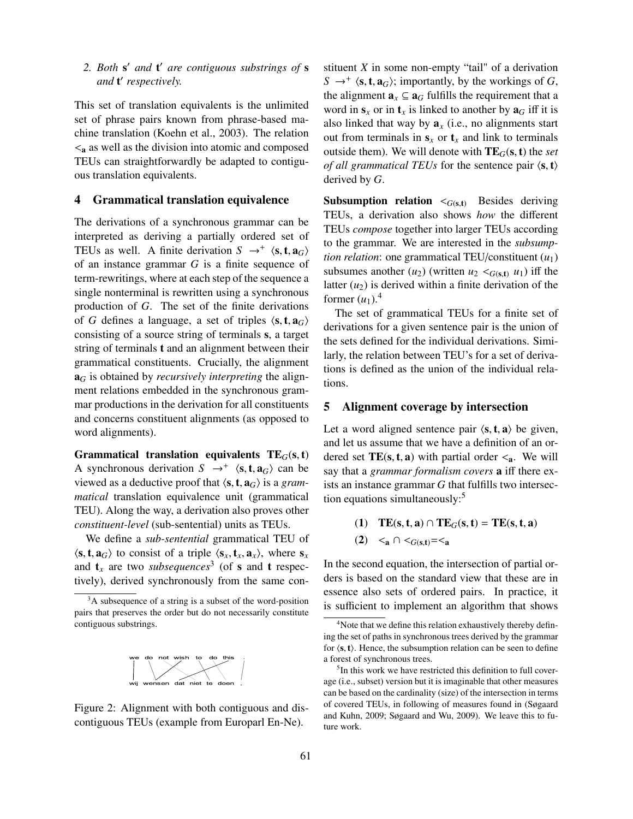# 2. Both **s'** and **t'** are contiguous substrings of **s** *and* t 0 *respectively.*

This set of translation equivalents is the unlimited set of phrase pairs known from phrase-based machine translation (Koehn et al., 2003). The relation  $\leq_a$  as well as the division into atomic and composed TEUs can straightforwardly be adapted to contiguous translation equivalents.

#### 4 Grammatical translation equivalence

The derivations of a synchronous grammar can be interpreted as deriving a partially ordered set of TEUs as well. A finite derivation  $S \rightarrow^{+} \langle s, t, a_G \rangle$ <br>of an instance grammar *G* is a finite sequence of of an instance grammar *G* is a finite sequence of term-rewritings, where at each step of the sequence a single nonterminal is rewritten using a synchronous production of *G*. The set of the finite derivations of *G* defines a language, a set of triples  $\langle s, t, a_G \rangle$ consisting of a source string of terminals s, a target string of terminals t and an alignment between their grammatical constituents. Crucially, the alignment a*<sup>G</sup>* is obtained by *recursively interpreting* the alignment relations embedded in the synchronous grammar productions in the derivation for all constituents and concerns constituent alignments (as opposed to word alignments).

Grammatical translation equivalents  $TE_G(s, t)$ A synchronous derivation  $S \rightarrow^{+} \langle s, t, a_G \rangle$  can be viewed as a deductive proof that  $\langle s, t, a_G \rangle$  is a *gram*viewed as a deductive proof that  $\langle s, t, a_G \rangle$  is a *grammatical* translation equivalence unit (grammatical TEU). Along the way, a derivation also proves other *constituent-level* (sub-sentential) units as TEUs.

We define a *sub-sentential* grammatical TEU of  $\langle$ **s**, **t**, **a**<sub>*G*</sub> $\rangle$  to consist of a triple  $\langle$ **s**<sub>*x*</sub>, **t**<sub>*x*</sub>, **a**<sub>*x*</sub> $\rangle$ , where **s**<sub>*x*</sub> and  $t_x$  are two *subsequences*<sup>3</sup> (of **s** and **t** respectively), derived synchronously from the same con-

<sup>3</sup>A subsequence of a string is a subset of the word-position pairs that preserves the order but do not necessarily constitute contiguous substrings.



Figure 2: Alignment with both contiguous and discontiguous TEUs (example from Europarl En-Ne).

stituent *X* in some non-empty "tail" of a derivation  $S \rightarrow^{+} \langle s, t, a_G \rangle$ ; importantly, by the workings of *G*, the alignment **a**  $\subset \Omega$  *G* fulfills the requirement that a the alignment  $\mathbf{a}_x \subseteq \mathbf{a}_G$  fulfills the requirement that a word in  $s_x$  or in  $t_x$  is linked to another by  $a_G$  iff it is also linked that way by  $a_x$  (i.e., no alignments start out from terminals in  $s_x$  or  $t_x$  and link to terminals outside them). We will denote with  $TE_G(s, t)$  the *set of all grammatical TEUs* for the sentence pair  $\langle s, t \rangle$ derived by *G*.

**Subsumption relation**  $\lt_{G(s,t)}$  Besides deriving TEUs, a derivation also shows *how* the different TEUs *compose* together into larger TEUs according to the grammar. We are interested in the *subsumption relation*: one grammatical TEU/constituent  $(u_1)$ subsumes another  $(u_2)$  (written  $u_2 <_{G(s,t)} u_1$ ) iff the latter  $(u_2)$  is derived within a finite derivation of the former  $(u_1)$ .<sup>4</sup>

The set of grammatical TEUs for a finite set of derivations for a given sentence pair is the union of the sets defined for the individual derivations. Similarly, the relation between TEU's for a set of derivations is defined as the union of the individual relations.

#### 5 Alignment coverage by intersection

Let a word aligned sentence pair  $\langle s, t, a \rangle$  be given, and let us assume that we have a definition of an ordered set  $TE(s, t, a)$  with partial order  $\leq_a$ . We will say that a *grammar formalism covers* a iff there exists an instance grammar *G* that fulfills two intersection equations simultaneously:<sup>5</sup>

(1) 
$$
TE(s, t, a) \cap TE_G(s, t) = TE(s, t, a)
$$

$$
(2) \ \ <_{a} \cap <_{G(s,t)} = <_{a}
$$

In the second equation, the intersection of partial orders is based on the standard view that these are in essence also sets of ordered pairs. In practice, it is sufficient to implement an algorithm that shows

<sup>&</sup>lt;sup>4</sup>Note that we define this relation exhaustively thereby defining the set of paths in synchronous trees derived by the grammar for  $\langle s, t \rangle$ . Hence, the subsumption relation can be seen to define a forest of synchronous trees.

<sup>5</sup> In this work we have restricted this definition to full coverage (i.e., subset) version but it is imaginable that other measures can be based on the cardinality (size) of the intersection in terms of covered TEUs, in following of measures found in (Søgaard and Kuhn, 2009; Søgaard and Wu, 2009). We leave this to future work.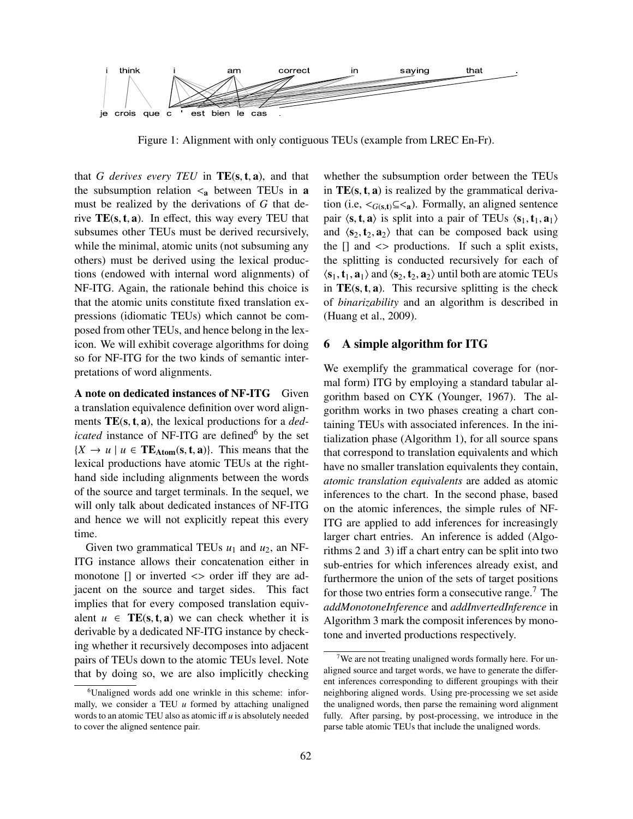

Figure 1: Alignment with only contiguous TEUs (example from LREC En-Fr).

that *G derives every TEU* in  $TE(s, t, a)$ , and that the subsumption relation  $\leq_a$  between TEUs in a must be realized by the derivations of *G* that derive  $TE(s, t, a)$ . In effect, this way every TEU that subsumes other TEUs must be derived recursively, while the minimal, atomic units (not subsuming any others) must be derived using the lexical productions (endowed with internal word alignments) of NF-ITG. Again, the rationale behind this choice is that the atomic units constitute fixed translation expressions (idiomatic TEUs) which cannot be composed from other TEUs, and hence belong in the lexicon. We will exhibit coverage algorithms for doing so for NF-ITG for the two kinds of semantic interpretations of word alignments.

A note on dedicated instances of NF-ITG Given a translation equivalence definition over word alignments TE(s, <sup>t</sup>, <sup>a</sup>), the lexical productions for a *dedicated* instance of NF-ITG are defined<sup>6</sup> by the set  ${X \rightarrow u \mid u \in \text{TE}_{\text{Atom}}(s, t, a)}$ . This means that the lexical productions have atomic TEUs at the righthand side including alignments between the words of the source and target terminals. In the sequel, we will only talk about dedicated instances of NF-ITG and hence we will not explicitly repeat this every time.

Given two grammatical TEUs  $u_1$  and  $u_2$ , an NF-ITG instance allows their concatenation either in monotone  $\Box$  or inverted  $\Diamond$  order iff they are adjacent on the source and target sides. This fact implies that for every composed translation equivalent  $u \in \text{TE}(s, t, a)$  we can check whether it is derivable by a dedicated NF-ITG instance by checking whether it recursively decomposes into adjacent pairs of TEUs down to the atomic TEUs level. Note that by doing so, we are also implicitly checking

whether the subsumption order between the TEUs in  $TE(s, t, a)$  is realized by the grammatical derivation (i.e,  $\langle G(s,t) \rangle \leq \langle s \rangle$ ). Formally, an aligned sentence pair  $\langle s, t, a \rangle$  is split into a pair of TEUs  $\langle s_1, t_1, a_1 \rangle$ and  $\langle s_2, t_2, a_2 \rangle$  that can be composed back using the [] and <> productions. If such a split exists, the splitting is conducted recursively for each of  $\langle s_1, t_1, a_1 \rangle$  and  $\langle s_2, t_2, a_2 \rangle$  until both are atomic TEUs in  $TE(s, t, a)$ . This recursive splitting is the check of *binarizability* and an algorithm is described in (Huang et al., 2009).

#### 6 A simple algorithm for ITG

We exemplify the grammatical coverage for (normal form) ITG by employing a standard tabular algorithm based on CYK (Younger, 1967). The algorithm works in two phases creating a chart containing TEUs with associated inferences. In the initialization phase (Algorithm 1), for all source spans that correspond to translation equivalents and which have no smaller translation equivalents they contain, *atomic translation equivalents* are added as atomic inferences to the chart. In the second phase, based on the atomic inferences, the simple rules of NF-ITG are applied to add inferences for increasingly larger chart entries. An inference is added (Algorithms 2 and 3) iff a chart entry can be split into two sub-entries for which inferences already exist, and furthermore the union of the sets of target positions for those two entries form a consecutive range.<sup>7</sup> The *addMonotoneInference* and *addInvertedInference* in Algorithm 3 mark the composit inferences by monotone and inverted productions respectively.

<sup>6</sup>Unaligned words add one wrinkle in this scheme: informally, we consider a TEU *u* formed by attaching unaligned words to an atomic TEU also as atomic iff *u* is absolutely needed to cover the aligned sentence pair.

 $7$ We are not treating unaligned words formally here. For unaligned source and target words, we have to generate the different inferences corresponding to different groupings with their neighboring aligned words. Using pre-processing we set aside the unaligned words, then parse the remaining word alignment fully. After parsing, by post-processing, we introduce in the parse table atomic TEUs that include the unaligned words.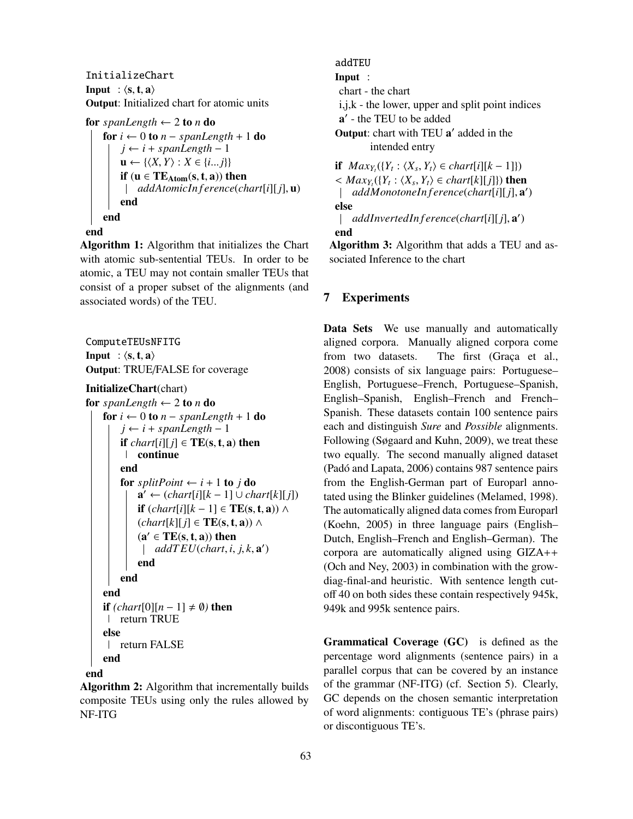InitializeChart Input :  $\langle s, t, a \rangle$ Output: Initialized chart for atomic units

```
for spanLength \leftarrow 2 to n do
```
for  $i \leftarrow 0$  to  $n$  – *spanLength* + 1 do  $j \leftarrow i + spanLength - 1$  $\mathbf{u} \leftarrow \{ \langle X, Y \rangle : X \in \{i...j\} \}$ if  $(u \in TE_{Atom}(s, t, a))$  then *addAtomicIn f erence*(*chart*[*i*][*j*], <sup>u</sup>) end end

#### end

Algorithm 1: Algorithm that initializes the Chart with atomic sub-sentential TEUs. In order to be atomic, a TEU may not contain smaller TEUs that consist of a proper subset of the alignments (and associated words) of the TEU.

ComputeTEUsNFITG Input :  $\langle s, t, a \rangle$ Output: TRUE/FALSE for coverage

#### InitializeChart(chart)

```
for spanLength \leftarrow 2 to n do
     for i \leftarrow 0 to n – spanLength + 1 do
           j \leftarrow i + spanLength - 1if chart[i][j] \in TE(s, t, a) then
            continue
           end
           for splitPoint \leftarrow i + 1 to j do
                 \mathbf{a}' \leftarrow \left(\text{chart}[i][k-1] \cup \text{chart}[k][j]\right)if (chart[i][k-1] \in \mathbf{TE}(\mathbf{s}, \mathbf{t}, \mathbf{a})) \wedge(chart[k][j] ∈ TE(s, t, a)) ∧(\mathbf{a}' \in \mathbf{TE}(\mathbf{s}, \mathbf{t}, \mathbf{a})) then<br>
\downarrow addTEU(chart i
                       addT EU(chart, i, j, k, a
0
)
                end
           end
     end
     if (chart[0][n-1] ≠ ∅) then
      return TRUE
     else
       return FALSE
     end
```
#### end

Algorithm 2: Algorithm that incrementally builds composite TEUs using only the rules allowed by NF-ITG

addTEU Input : chart - the chart i,j,k - the lower, upper and split point indices a' - the TEU to be added Output: chart with TEU a' added in the intended entry if  $Max_{Y_i}({Y_i : \langle X_s, Y_t \rangle \in chart[i][k-1]})$ <br>  $\leq Max_i({Y_i : \langle Y, Y \rangle \in chart[k][i])}$  then

 $\langle Max_{Y_t}(\{Y_t : \langle X_s, Y_t \rangle \in chart[k][j]\})$  then<br>  $\downarrow$  addMonotoneIn ference(chart[*i*][ *i*] a *addMonotoneIn f erence*(*chart*[*i*][*j*], <sup>a</sup> 0 ) else *addInvertedIn f erence*(*chart*[*i*][*j*], <sup>a</sup> 0 )  $\mathbb{R}$ 

#### end

Algorithm 3: Algorithm that adds a TEU and associated Inference to the chart

## 7 Experiments

Data Sets We use manually and automatically aligned corpora. Manually aligned corpora come from two datasets. The first (Graça et al., 2008) consists of six language pairs: Portuguese– English, Portuguese–French, Portuguese–Spanish, English–Spanish, English–French and French– Spanish. These datasets contain 100 sentence pairs each and distinguish *Sure* and *Possible* alignments. Following (Søgaard and Kuhn, 2009), we treat these two equally. The second manually aligned dataset (Padó and Lapata, 2006) contains 987 sentence pairs from the English-German part of Europarl annotated using the Blinker guidelines (Melamed, 1998). The automatically aligned data comes from Europarl (Koehn, 2005) in three language pairs (English– Dutch, English–French and English–German). The corpora are automatically aligned using GIZA++ (Och and Ney, 2003) in combination with the growdiag-final-and heuristic. With sentence length cutoff 40 on both sides these contain respectively 945k, 949k and 995k sentence pairs.

Grammatical Coverage (GC) is defined as the percentage word alignments (sentence pairs) in a parallel corpus that can be covered by an instance of the grammar (NF-ITG) (cf. Section 5). Clearly, GC depends on the chosen semantic interpretation of word alignments: contiguous TE's (phrase pairs) or discontiguous TE's.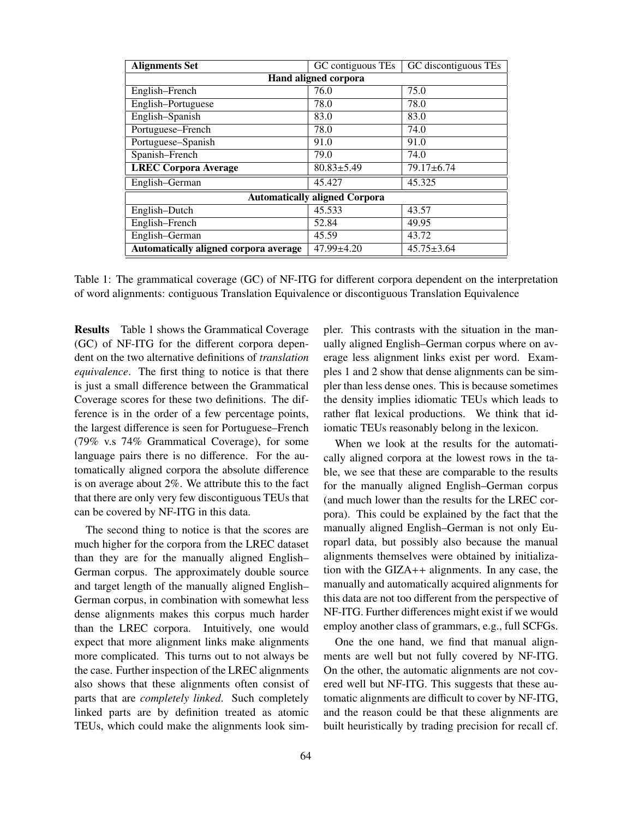| <b>Alignments Set</b>                 | GC contiguous TEs | GC discontiguous TEs |
|---------------------------------------|-------------------|----------------------|
| Hand aligned corpora                  |                   |                      |
| English-French                        | 76.0              | 75.0                 |
| English-Portuguese                    | 78.0              | 78.0                 |
| English-Spanish                       | 83.0              | 83.0                 |
| Portuguese-French                     | 78.0              | 74.0                 |
| Portuguese-Spanish                    | 91.0              | 91.0                 |
| Spanish-French                        | 79.0              | 74.0                 |
| <b>LREC Corpora Average</b>           | $80.83 \pm 5.49$  | $79.17 \pm 6.74$     |
| English-German                        | 45.427            | 45.325               |
| <b>Automatically aligned Corpora</b>  |                   |                      |
| English-Dutch                         | 45.533            | 43.57                |
| English-French                        | 52.84             | 49.95                |
| English-German                        | 45.59             | 43.72                |
| Automatically aligned corpora average | $47.99 \pm 4.20$  | $45.75 \pm 3.64$     |

Table 1: The grammatical coverage (GC) of NF-ITG for different corpora dependent on the interpretation of word alignments: contiguous Translation Equivalence or discontiguous Translation Equivalence

Results Table 1 shows the Grammatical Coverage (GC) of NF-ITG for the different corpora dependent on the two alternative definitions of *translation equivalence*. The first thing to notice is that there is just a small difference between the Grammatical Coverage scores for these two definitions. The difference is in the order of a few percentage points, the largest difference is seen for Portuguese–French (79% v.s 74% Grammatical Coverage), for some language pairs there is no difference. For the automatically aligned corpora the absolute difference is on average about 2%. We attribute this to the fact that there are only very few discontiguous TEUs that can be covered by NF-ITG in this data.

The second thing to notice is that the scores are much higher for the corpora from the LREC dataset than they are for the manually aligned English– German corpus. The approximately double source and target length of the manually aligned English– German corpus, in combination with somewhat less dense alignments makes this corpus much harder than the LREC corpora. Intuitively, one would expect that more alignment links make alignments more complicated. This turns out to not always be the case. Further inspection of the LREC alignments also shows that these alignments often consist of parts that are *completely linked*. Such completely linked parts are by definition treated as atomic TEUs, which could make the alignments look simpler. This contrasts with the situation in the manually aligned English–German corpus where on average less alignment links exist per word. Examples 1 and 2 show that dense alignments can be simpler than less dense ones. This is because sometimes the density implies idiomatic TEUs which leads to rather flat lexical productions. We think that idiomatic TEUs reasonably belong in the lexicon.

When we look at the results for the automatically aligned corpora at the lowest rows in the table, we see that these are comparable to the results for the manually aligned English–German corpus (and much lower than the results for the LREC corpora). This could be explained by the fact that the manually aligned English–German is not only Europarl data, but possibly also because the manual alignments themselves were obtained by initialization with the GIZA++ alignments. In any case, the manually and automatically acquired alignments for this data are not too different from the perspective of NF-ITG. Further differences might exist if we would employ another class of grammars, e.g., full SCFGs.

One the one hand, we find that manual alignments are well but not fully covered by NF-ITG. On the other, the automatic alignments are not covered well but NF-ITG. This suggests that these automatic alignments are difficult to cover by NF-ITG, and the reason could be that these alignments are built heuristically by trading precision for recall cf.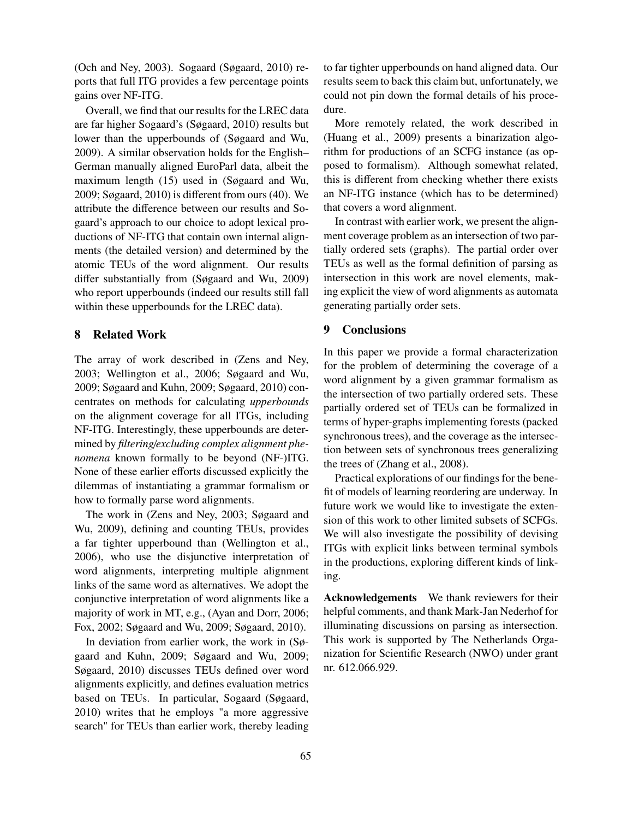(Och and Ney, 2003). Sogaard (Søgaard, 2010) reports that full ITG provides a few percentage points gains over NF-ITG.

Overall, we find that our results for the LREC data are far higher Sogaard's (Søgaard, 2010) results but lower than the upperbounds of (Søgaard and Wu, 2009). A similar observation holds for the English– German manually aligned EuroParl data, albeit the maximum length (15) used in (Søgaard and Wu, 2009; Søgaard, 2010) is different from ours (40). We attribute the difference between our results and Sogaard's approach to our choice to adopt lexical productions of NF-ITG that contain own internal alignments (the detailed version) and determined by the atomic TEUs of the word alignment. Our results differ substantially from (Søgaard and Wu, 2009) who report upperbounds (indeed our results still fall within these upperbounds for the LREC data).

## 8 Related Work

The array of work described in (Zens and Ney, 2003; Wellington et al., 2006; Søgaard and Wu, 2009; Søgaard and Kuhn, 2009; Søgaard, 2010) concentrates on methods for calculating *upperbounds* on the alignment coverage for all ITGs, including NF-ITG. Interestingly, these upperbounds are determined by *filtering*/*excluding complex alignment phenomena* known formally to be beyond (NF-)ITG. None of these earlier efforts discussed explicitly the dilemmas of instantiating a grammar formalism or how to formally parse word alignments.

The work in (Zens and Ney, 2003; Søgaard and Wu, 2009), defining and counting TEUs, provides a far tighter upperbound than (Wellington et al., 2006), who use the disjunctive interpretation of word alignments, interpreting multiple alignment links of the same word as alternatives. We adopt the conjunctive interpretation of word alignments like a majority of work in MT, e.g., (Ayan and Dorr, 2006; Fox, 2002; Søgaard and Wu, 2009; Søgaard, 2010).

In deviation from earlier work, the work in (Søgaard and Kuhn, 2009; Søgaard and Wu, 2009; Søgaard, 2010) discusses TEUs defined over word alignments explicitly, and defines evaluation metrics based on TEUs. In particular, Sogaard (Søgaard, 2010) writes that he employs "a more aggressive search" for TEUs than earlier work, thereby leading to far tighter upperbounds on hand aligned data. Our results seem to back this claim but, unfortunately, we could not pin down the formal details of his procedure.

More remotely related, the work described in (Huang et al., 2009) presents a binarization algorithm for productions of an SCFG instance (as opposed to formalism). Although somewhat related, this is different from checking whether there exists an NF-ITG instance (which has to be determined) that covers a word alignment.

In contrast with earlier work, we present the alignment coverage problem as an intersection of two partially ordered sets (graphs). The partial order over TEUs as well as the formal definition of parsing as intersection in this work are novel elements, making explicit the view of word alignments as automata generating partially order sets.

#### 9 Conclusions

In this paper we provide a formal characterization for the problem of determining the coverage of a word alignment by a given grammar formalism as the intersection of two partially ordered sets. These partially ordered set of TEUs can be formalized in terms of hyper-graphs implementing forests (packed synchronous trees), and the coverage as the intersection between sets of synchronous trees generalizing the trees of (Zhang et al., 2008).

Practical explorations of our findings for the benefit of models of learning reordering are underway. In future work we would like to investigate the extension of this work to other limited subsets of SCFGs. We will also investigate the possibility of devising ITGs with explicit links between terminal symbols in the productions, exploring different kinds of linking.

Acknowledgements We thank reviewers for their helpful comments, and thank Mark-Jan Nederhof for illuminating discussions on parsing as intersection. This work is supported by The Netherlands Organization for Scientific Research (NWO) under grant nr. 612.066.929.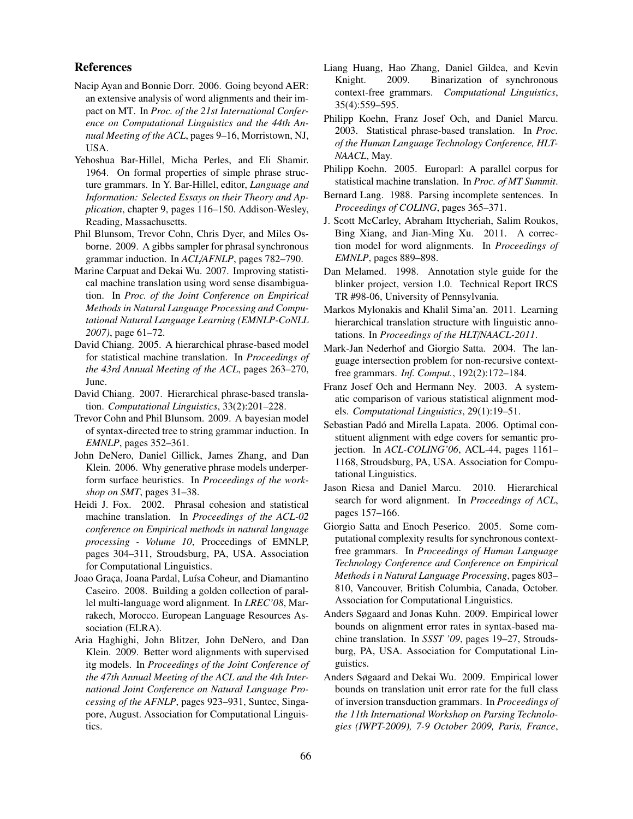#### References

- Nacip Ayan and Bonnie Dorr. 2006. Going beyond AER: an extensive analysis of word alignments and their impact on MT. In *Proc. of the 21st International Conference on Computational Linguistics and the 44th Annual Meeting of the ACL*, pages 9–16, Morristown, NJ, USA.
- Yehoshua Bar-Hillel, Micha Perles, and Eli Shamir. 1964. On formal properties of simple phrase structure grammars. In Y. Bar-Hillel, editor, *Language and Information: Selected Essays on their Theory and Application*, chapter 9, pages 116–150. Addison-Wesley, Reading, Massachusetts.
- Phil Blunsom, Trevor Cohn, Chris Dyer, and Miles Osborne. 2009. A gibbs sampler for phrasal synchronous grammar induction. In *ACL*/*AFNLP*, pages 782–790.
- Marine Carpuat and Dekai Wu. 2007. Improving statistical machine translation using word sense disambiguation. In *Proc. of the Joint Conference on Empirical Methods in Natural Language Processing and Computational Natural Language Learning (EMNLP-CoNLL 2007)*, page 61–72.
- David Chiang. 2005. A hierarchical phrase-based model for statistical machine translation. In *Proceedings of the 43rd Annual Meeting of the ACL*, pages 263–270, June.
- David Chiang. 2007. Hierarchical phrase-based translation. *Computational Linguistics*, 33(2):201–228.
- Trevor Cohn and Phil Blunsom. 2009. A bayesian model of syntax-directed tree to string grammar induction. In *EMNLP*, pages 352–361.
- John DeNero, Daniel Gillick, James Zhang, and Dan Klein. 2006. Why generative phrase models underperform surface heuristics. In *Proceedings of the workshop on SMT*, pages 31–38.
- Heidi J. Fox. 2002. Phrasal cohesion and statistical machine translation. In *Proceedings of the ACL-02 conference on Empirical methods in natural language processing - Volume 10*, Proceedings of EMNLP, pages 304–311, Stroudsburg, PA, USA. Association for Computational Linguistics.
- Joao Gra˛ca, Joana Pardal, Luísa Coheur, and Diamantino Caseiro. 2008. Building a golden collection of parallel multi-language word alignment. In *LREC'08*, Marrakech, Morocco. European Language Resources Association (ELRA).
- Aria Haghighi, John Blitzer, John DeNero, and Dan Klein. 2009. Better word alignments with supervised itg models. In *Proceedings of the Joint Conference of the 47th Annual Meeting of the ACL and the 4th International Joint Conference on Natural Language Processing of the AFNLP*, pages 923–931, Suntec, Singapore, August. Association for Computational Linguistics.
- Liang Huang, Hao Zhang, Daniel Gildea, and Kevin Knight. 2009. Binarization of synchronous context-free grammars. *Computational Linguistics*, 35(4):559–595.
- Philipp Koehn, Franz Josef Och, and Daniel Marcu. 2003. Statistical phrase-based translation. In *Proc. of the Human Language Technology Conference, HLT-NAACL*, May.
- Philipp Koehn. 2005. Europarl: A parallel corpus for statistical machine translation. In *Proc. of MT Summit*.
- Bernard Lang. 1988. Parsing incomplete sentences. In *Proceedings of COLING*, pages 365–371.
- J. Scott McCarley, Abraham Ittycheriah, Salim Roukos, Bing Xiang, and Jian-Ming Xu. 2011. A correction model for word alignments. In *Proceedings of EMNLP*, pages 889–898.
- Dan Melamed. 1998. Annotation style guide for the blinker project, version 1.0. Technical Report IRCS TR #98-06, University of Pennsylvania.
- Markos Mylonakis and Khalil Sima'an. 2011. Learning hierarchical translation structure with linguistic annotations. In *Proceedings of the HLT*/*NAACL-2011*.
- Mark-Jan Nederhof and Giorgio Satta. 2004. The language intersection problem for non-recursive contextfree grammars. *Inf. Comput.*, 192(2):172–184.
- Franz Josef Och and Hermann Ney. 2003. A systematic comparison of various statistical alignment models. *Computational Linguistics*, 29(1):19–51.
- Sebastian Padó and Mirella Lapata. 2006. Optimal constituent alignment with edge covers for semantic projection. In *ACL-COLING'06*, ACL-44, pages 1161– 1168, Stroudsburg, PA, USA. Association for Computational Linguistics.
- Jason Riesa and Daniel Marcu. 2010. Hierarchical search for word alignment. In *Proceedings of ACL*, pages 157–166.
- Giorgio Satta and Enoch Peserico. 2005. Some computational complexity results for synchronous contextfree grammars. In *Proceedings of Human Language Technology Conference and Conference on Empirical Methods i n Natural Language Processing*, pages 803– 810, Vancouver, British Columbia, Canada, October. Association for Computational Linguistics.
- Anders Søgaard and Jonas Kuhn. 2009. Empirical lower bounds on alignment error rates in syntax-based machine translation. In *SSST '09*, pages 19–27, Stroudsburg, PA, USA. Association for Computational Linguistics.
- Anders Søgaard and Dekai Wu. 2009. Empirical lower bounds on translation unit error rate for the full class of inversion transduction grammars. In *Proceedings of the 11th International Workshop on Parsing Technologies (IWPT-2009), 7-9 October 2009, Paris, France*,